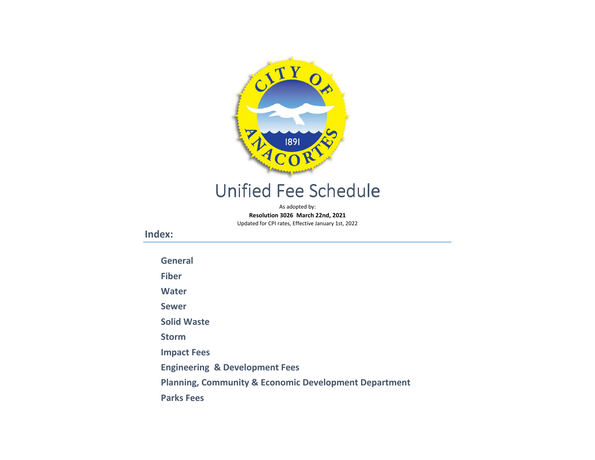

# Unified Fee Schedule

As adopted by:Resolution 3026 March 22nd, 2021Updated for CPI rates, Effective January 1st, 2022

Index:

[General](#page-1-0)

[Fiber](#page-2-0)

[Water](#page-3-0)

[Sewer](#page-5-0)

[Solid Waste](#page-8-0)

[Storm](#page-10-0)

[Impact Fees](#page-11-0)

[Engineering & Development Fees](#page-14-0)

[Planning, Community & Economic Development Department](#page-17-0)

[Parks Fees](#page-18-0)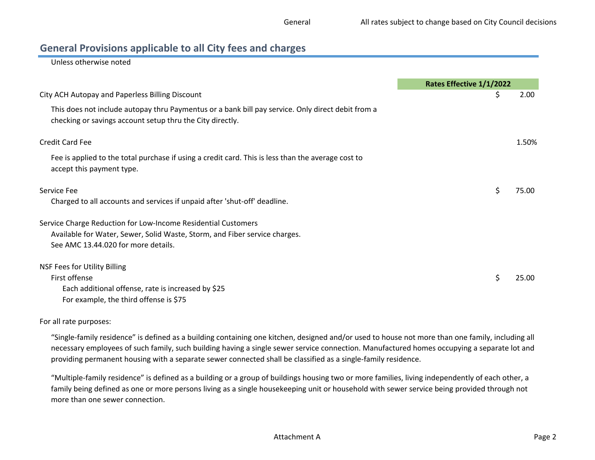### <span id="page-1-0"></span>General Provisions applicable to all City fees and charges

Unless otherwise noted

|                                                                                                                                                                | Rates Effective 1/1/2022 |       |
|----------------------------------------------------------------------------------------------------------------------------------------------------------------|--------------------------|-------|
| City ACH Autopay and Paperless Billing Discount                                                                                                                | Ş                        | 2.00  |
| This does not include autopay thru Paymentus or a bank bill pay service. Only direct debit from a<br>checking or savings account setup thru the City directly. |                          |       |
| <b>Credit Card Fee</b>                                                                                                                                         |                          | 1.50% |
| Fee is applied to the total purchase if using a credit card. This is less than the average cost to<br>accept this payment type.                                |                          |       |
| Service Fee                                                                                                                                                    | \$                       | 75.00 |
| Charged to all accounts and services if unpaid after 'shut-off' deadline.                                                                                      |                          |       |
| Service Charge Reduction for Low-Income Residential Customers                                                                                                  |                          |       |
| Available for Water, Sewer, Solid Waste, Storm, and Fiber service charges.                                                                                     |                          |       |
| See AMC 13.44.020 for more details.                                                                                                                            |                          |       |
| <b>NSF Fees for Utility Billing</b>                                                                                                                            |                          |       |
| First offense                                                                                                                                                  | \$                       | 25.00 |
| Each additional offense, rate is increased by \$25                                                                                                             |                          |       |
| For example, the third offense is \$75                                                                                                                         |                          |       |

#### For all rate purposes:

"Single-family residence" is defined as a building containing one kitchen, designed and/or used to house not more than one family, including all necessary employees of such family, such building having a single sewer service connection. Manufactured homes occupying a separate lot and providing permanent housing with a separate sewer connected shall be classified as a single-family residence.

"Multiple-family residence" is defined as a building or a group of buildings housing two or more families, living independently of each other, a family being defined as one or more persons living as a single housekeeping unit or household with sewer service being provided through not more than one sewer connection.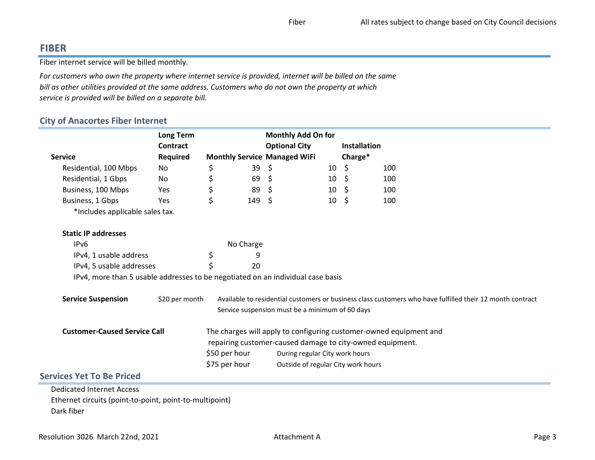# <span id="page-2-0"></span>FIBER

Fiber internet service will be billed monthly.

For customers who own the property where internet service is provided, internet will be billed on the same bill as other utilities provided at the same address. Customers who do not own the property at which service is provided will be billed on a separate bill.

### City of Anacortes Fiber Internet

|                                                                                 | <b>Long Term</b> |               |           | <b>Monthly Add On for</b>                                 |                 |                     |                                                                                                           |
|---------------------------------------------------------------------------------|------------------|---------------|-----------|-----------------------------------------------------------|-----------------|---------------------|-----------------------------------------------------------------------------------------------------------|
|                                                                                 | <b>Contract</b>  |               |           | <b>Optional City</b>                                      |                 | <b>Installation</b> |                                                                                                           |
| <b>Service</b>                                                                  | <b>Required</b>  |               |           | <b>Monthly Service Managed WiFi</b>                       |                 | Charge*             |                                                                                                           |
| Residential, 100 Mbps                                                           | No               | \$            | 39        | \$                                                        | 10              | - \$                | 100                                                                                                       |
| Residential, 1 Gbps                                                             | No               | \$            | 69        | \$.                                                       | 10 <sup>°</sup> | - \$                | 100                                                                                                       |
| Business, 100 Mbps                                                              | Yes              | \$            | 89        | \$                                                        | $10 \pm 5$      |                     | 100                                                                                                       |
| Business, 1 Gbps                                                                | Yes              | \$            | 149       | -S                                                        | 10              | \$                  | 100                                                                                                       |
| *Includes applicable sales tax.                                                 |                  |               |           |                                                           |                 |                     |                                                                                                           |
| <b>Static IP addresses</b>                                                      |                  |               |           |                                                           |                 |                     |                                                                                                           |
| IP <sub>v6</sub>                                                                |                  |               | No Charge |                                                           |                 |                     |                                                                                                           |
| IPv4, 1 usable address                                                          |                  | \$            | 9         |                                                           |                 |                     |                                                                                                           |
| IPv4, 5 usable addresses                                                        |                  |               | 20        |                                                           |                 |                     |                                                                                                           |
| IPv4, more than 5 usable addresses to be negotiated on an individual case basis |                  |               |           |                                                           |                 |                     |                                                                                                           |
| <b>Service Suspension</b>                                                       | \$20 per month   |               |           |                                                           |                 |                     | Available to residential customers or business class customers who have fulfilled their 12 month contract |
|                                                                                 |                  |               |           | Service suspension must be a minimum of 60 days           |                 |                     |                                                                                                           |
| <b>Customer-Caused Service Call</b>                                             |                  |               |           |                                                           |                 |                     | The charges will apply to configuring customer-owned equipment and                                        |
|                                                                                 |                  |               |           | repairing customer-caused damage to city-owned equipment. |                 |                     |                                                                                                           |
|                                                                                 |                  | \$50 per hour |           | During regular City work hours                            |                 |                     |                                                                                                           |
|                                                                                 |                  | \$75 per hour |           | Outside of regular City work hours                        |                 |                     |                                                                                                           |
| <b>Services Yet To Be Priced</b>                                                |                  |               |           |                                                           |                 |                     |                                                                                                           |
| <b>Dedicated Internet Access</b>                                                |                  |               |           |                                                           |                 |                     |                                                                                                           |
| Ethernet circuits (point-to-point, point-to-multipoint)                         |                  |               |           |                                                           |                 |                     |                                                                                                           |
| Dark fiber                                                                      |                  |               |           |                                                           |                 |                     |                                                                                                           |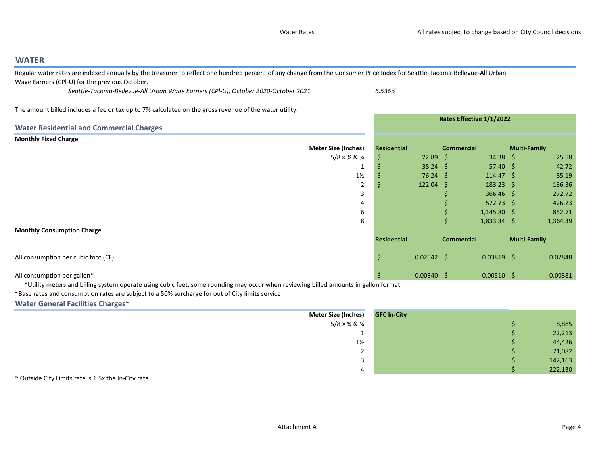Rates Effective 1/1/2022

### <span id="page-3-0"></span>WATER

 Regular water rates are indexed annually by the treasurer to reflect one hundred percent of any change from the Consumer Price Index for Seattle-Tacoma-Bellevue-All Urban Wage Earners (CPl-U) for the previous October.

Seattle-Tacoma-Bellevue-All Urban Wage Earners (CPl-U), October 2020-October 2021 6.536%

The amount billed includes a fee or tax up to 7% calculated on the gross revenue of the water utility.

|                                                 |                                          | Rates Effective 1/1/2022 |                   |                   |                      |                     |          |
|-------------------------------------------------|------------------------------------------|--------------------------|-------------------|-------------------|----------------------|---------------------|----------|
| <b>Water Residential and Commercial Charges</b> |                                          |                          |                   |                   |                      |                     |          |
| <b>Monthly Fixed Charge</b>                     |                                          |                          |                   |                   |                      |                     |          |
| <b>Meter Size (Inches)</b>                      |                                          | Residential              |                   | <b>Commercial</b> |                      | <b>Multi-Family</b> |          |
|                                                 | $5/8 \times \frac{3}{4}$ & $\frac{3}{4}$ | \$                       | $22.89 \quad$ \$  |                   | $34.38 \quad$ \$     |                     | 25.58    |
|                                                 |                                          |                          | $38.24$ \$        |                   | $57.40 \div$         |                     | 42.72    |
|                                                 | $1\frac{1}{2}$                           |                          | $76.24 \text{ }$  |                   | $114.47 \; \text{S}$ |                     | 85.19    |
|                                                 | 2                                        |                          | $122.04 \quad$ \$ |                   | $183.23 \quad \zeta$ |                     | 136.36   |
|                                                 | 3                                        |                          |                   |                   | $366.46$ \$          |                     | 272.72   |
|                                                 | 4                                        |                          |                   |                   | $572.73$ \$          |                     | 426.23   |
|                                                 | 6                                        |                          |                   |                   | $1,145.80$ \$        |                     | 852.71   |
|                                                 | 8                                        |                          |                   | \$                | $1,833.34$ \$        |                     | 1,364.39 |
| <b>Monthly Consumption Charge</b>               |                                          |                          |                   |                   |                      |                     |          |
|                                                 |                                          | <b>Residential</b>       |                   | <b>Commercial</b> |                      | <b>Multi-Family</b> |          |
| All consumption per cubic foot (CF)             |                                          | \$                       | $0.02542 \div$    |                   | $0.03819$ \$         |                     | 0.02848  |
| All consumption per gallon*                     |                                          | \$                       | $0.00340 \quad $$ |                   | $0.00510 \quad $$    |                     | 0.00381  |

\*Utility meters and billing system operate using cubic feet, some rounding may occur when reviewing billed amounts in gallon format.

~Base rates and consumption rates are subject to a 50% surcharge for out of City limits service

#### Water General Facilities Charges~

| Meter Size (Inches)                      | <b>GFC In-City</b> |         |
|------------------------------------------|--------------------|---------|
| $5/8 \times \frac{3}{4}$ & $\frac{3}{4}$ |                    | 8,885   |
| <u>. на ста</u>                          |                    | 22,213  |
| $1\frac{1}{2}$                           |                    | 44,426  |
| -                                        |                    | 71,082  |
|                                          |                    | 142,163 |
|                                          |                    | 222,130 |

~ Outside City Limits rate is 1.5x the In-City rate.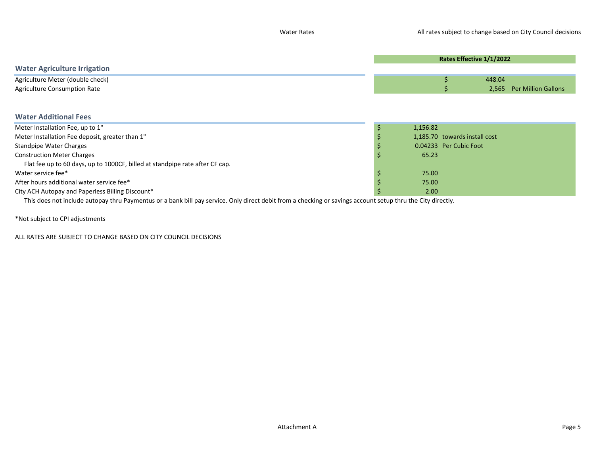|                                                                                                                                                             | Rates Effective 1/1/2022 |                               |        |                            |  |
|-------------------------------------------------------------------------------------------------------------------------------------------------------------|--------------------------|-------------------------------|--------|----------------------------|--|
| <b>Water Agriculture Irrigation</b>                                                                                                                         |                          |                               |        |                            |  |
| Agriculture Meter (double check)                                                                                                                            |                          |                               | 448.04 |                            |  |
| <b>Agriculture Consumption Rate</b>                                                                                                                         |                          |                               | 2,565  | <b>Per Million Gallons</b> |  |
|                                                                                                                                                             |                          |                               |        |                            |  |
| <b>Water Additional Fees</b>                                                                                                                                |                          |                               |        |                            |  |
| Meter Installation Fee, up to 1"                                                                                                                            | 1,156.82                 |                               |        |                            |  |
| Meter Installation Fee deposit, greater than 1"                                                                                                             |                          | 1,185.70 towards install cost |        |                            |  |
| <b>Standpipe Water Charges</b>                                                                                                                              |                          | 0.04233 Per Cubic Foot        |        |                            |  |
| <b>Construction Meter Charges</b>                                                                                                                           | 65.23                    |                               |        |                            |  |
| Flat fee up to 60 days, up to 1000CF, billed at standpipe rate after CF cap.                                                                                |                          |                               |        |                            |  |
| Water service fee*                                                                                                                                          | 75.00                    |                               |        |                            |  |
| After hours additional water service fee*                                                                                                                   | 75.00                    |                               |        |                            |  |
| City ACH Autopay and Paperless Billing Discount*                                                                                                            | 2.00                     |                               |        |                            |  |
| This does not include autopay thru Paymentus or a bank bill pay service. Only direct debit from a checking or savings account setup thru the City directly. |                          |                               |        |                            |  |

\*Not subject to CPI adjustments

ALL RATES ARE SUBJECT TO CHANGE BASED ON CITY COUNCIL DECISIONS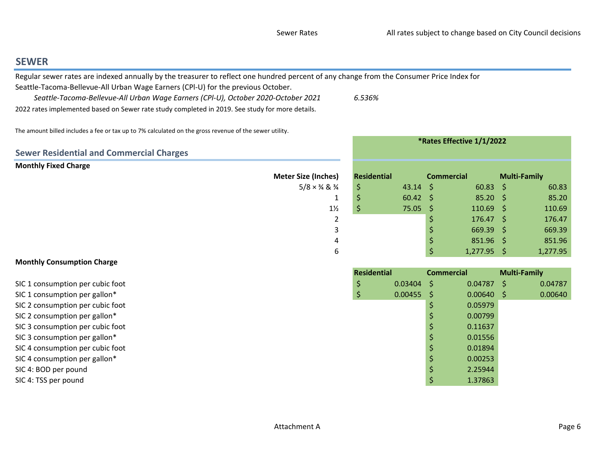$\zeta$  1,277.95  $\zeta$  1,277.95

Commercial Multi-Family

 $0.03404$  \$  $0.04787$  \$  $0.04787$ <br>0.00455 \$ 0.00640 \$ 0.00640

0.00799

0.11637

0.01556

0.01894

0.00253

2.25944

 $\begin{array}{ccc} \xi & 0.00640 & \xi \\ \xi & 0.05979 & \end{array}$ 

\*Rates Effective 1/1/2022

### <span id="page-5-0"></span>**SEWER**

Regular sewer rates are indexed annually by the treasurer to reflect one hundred percent of any change from the Consumer Price Index for

Seattle-Tacoma-Bellevue-All Urban Wage Earners (CPl-U) for the previous October.

 Seattle-Tacoma-Bellevue-All Urban Wage Earners (CPl-U), October 2020-October 20212022 rates implemented based on Sewer rate study completed in 2019. See study for more details.

6.536%

The amount billed includes a fee or tax up to 7% calculated on the gross revenue of the sewer utility.

|                                                 |                                          |                    |              | MALES LITEURIVE 1/1/2022 |                   |                     |        |
|-------------------------------------------------|------------------------------------------|--------------------|--------------|--------------------------|-------------------|---------------------|--------|
| <b>Sewer Residential and Commercial Charges</b> |                                          |                    |              |                          |                   |                     |        |
| <b>Monthly Fixed Charge</b>                     |                                          |                    |              |                          |                   |                     |        |
|                                                 | <b>Meter Size (Inches)</b>               | <b>Residential</b> |              | <b>Commercial</b>        |                   | <b>Multi-Family</b> |        |
|                                                 | $5/8 \times \frac{3}{4}$ & $\frac{3}{4}$ | Ś.                 | $43.14 \div$ |                          | $60.83 \quad $$   |                     | 60.83  |
|                                                 |                                          |                    | $60.42 \div$ |                          | $85.20$ \$        |                     | 85.20  |
|                                                 | $1\frac{1}{2}$                           | Ş                  | $75.05$ \$   |                          | $110.69$ \$       |                     | 110.69 |
|                                                 |                                          |                    |              |                          | $176.47 \quad$ \$ |                     | 176.47 |
|                                                 |                                          |                    |              |                          | $669.39$ \$       |                     | 669.39 |
|                                                 | 4                                        |                    |              |                          | $851.96$ \$       |                     | 851.96 |
|                                                 |                                          |                    |              |                          |                   |                     |        |

6

Residential

### Monthly Consumption Charge

SIC 1 consumption per cubic foott the contraction of the contraction of  $\frac{1}{2}$   $\frac{1}{2}$  0.03404

SIC 1 consumption per gallon\* $\sim$  0.00455

SIC 2 consumption per cubic foott the contract of the contract of the contract of  $\sim$  0.05979

SIC 2 consumption per gallon\* $\frac{1}{2}$  0.00799

SIC 3 consumption per cubic foott the contract of  $\sim$  0.11637

SIC 3 consumption per gallon\* $\frac{1}{5}$  0.01556

- SIC 4 consumption per cubic foott the contract of the contract of the contract of  $\sim$  0.01894
- SIC 4 consumption per gallon\* $\frac{1}{5}$  0.00253
- SIC 4: BOD per pound $\uparrow$  2.25944
- SIC 4: TSS per poundd  $\frac{1}{3}$  1.37863

0.04787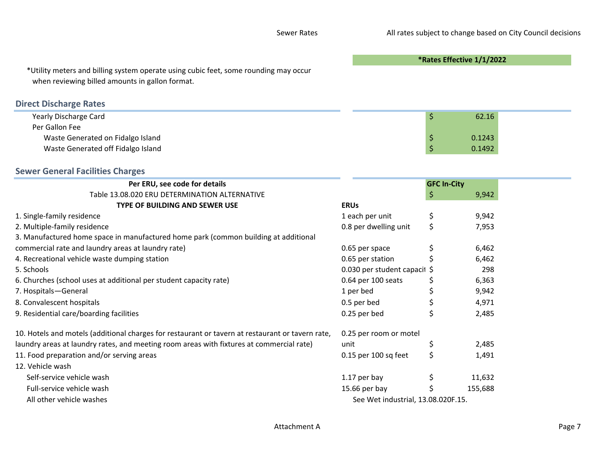\*Rates Effective 1/1/2022

\*Utility meters and billing system operate using cubic feet, some rounding may occurwhen reviewing billed amounts in gallon format.

# Direct Discharge Rates

| Yearly Discharge Card              | 62.16  |  |
|------------------------------------|--------|--|
| Per Gallon Fee                     |        |  |
| Waste Generated on Fidalgo Island  | 0.1243 |  |
| Waste Generated off Fidalgo Island | 0.1492 |  |

### Sewer General Facilities Charges

| Per ERU, see code for details                                                                    |                                    | <b>GFC In-City</b> |         |
|--------------------------------------------------------------------------------------------------|------------------------------------|--------------------|---------|
| Table 13.08.020 ERU DETERMINATION ALTERNATIVE                                                    |                                    | S                  | 9,942   |
| TYPE OF BUILDING AND SEWER USE                                                                   | <b>ERUS</b>                        |                    |         |
| 1. Single-family residence                                                                       | 1 each per unit                    | \$                 | 9,942   |
| 2. Multiple-family residence                                                                     | 0.8 per dwelling unit              |                    | 7,953   |
| 3. Manufactured home space in manufactured home park (common building at additional              |                                    |                    |         |
| commercial rate and laundry areas at laundry rate)                                               | 0.65 per space                     |                    | 6,462   |
| 4. Recreational vehicle waste dumping station                                                    | 0.65 per station                   |                    | 6,462   |
| 5. Schools                                                                                       | 0.030 per student capacil \$       |                    | 298     |
| 6. Churches (school uses at additional per student capacity rate)                                | 0.64 per 100 seats                 |                    | 6,363   |
| 7. Hospitals-General                                                                             | 1 per bed                          |                    | 9,942   |
| 8. Convalescent hospitals                                                                        | 0.5 per bed                        |                    | 4,971   |
| 9. Residential care/boarding facilities                                                          | 0.25 per bed                       |                    | 2,485   |
| 10. Hotels and motels (additional charges for restaurant or tavern at restaurant or tavern rate, | 0.25 per room or motel             |                    |         |
| laundry areas at laundry rates, and meeting room areas with fixtures at commercial rate)         | unit                               |                    | 2,485   |
| 11. Food preparation and/or serving areas                                                        | 0.15 per 100 sq feet               | \$                 | 1,491   |
| 12. Vehicle wash                                                                                 |                                    |                    |         |
| Self-service vehicle wash                                                                        | 1.17 per bay                       |                    | 11,632  |
| Full-service vehicle wash                                                                        | 15.66 per bay                      |                    | 155,688 |
| All other vehicle washes                                                                         | See Wet industrial, 13.08.020F.15. |                    |         |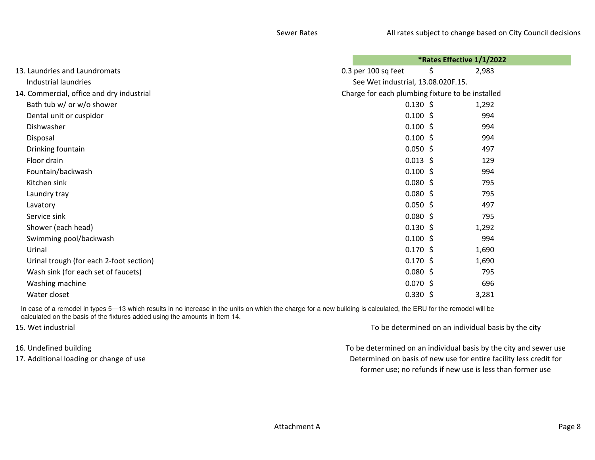|                                           | *Rates Effective 1/1/2022                        |  |
|-------------------------------------------|--------------------------------------------------|--|
| 13. Laundries and Laundromats             | 0.3 per 100 sq feet<br>\$<br>2,983               |  |
| Industrial laundries                      | See Wet industrial, 13.08.020F.15.               |  |
| 14. Commercial, office and dry industrial | Charge for each plumbing fixture to be installed |  |
| Bath tub w/ or w/o shower                 | $0.130 \; \text{S}$<br>1,292                     |  |
| Dental unit or cuspidor                   | $0.100$ \$<br>994                                |  |
| Dishwasher                                | $0.100$ \$<br>994                                |  |
| Disposal                                  | $0.100$ \$<br>994                                |  |
| Drinking fountain                         | $0.050$ \$<br>497                                |  |
| Floor drain                               | $0.013$ \$<br>129                                |  |
| Fountain/backwash                         | $0.100$ \$<br>994                                |  |
| Kitchen sink                              | $0.080$ \$<br>795                                |  |
| Laundry tray                              | $0.080$ \$<br>795                                |  |
| Lavatory                                  | $0.050$ \$<br>497                                |  |
| Service sink                              | $0.080$ \$<br>795                                |  |
| Shower (each head)                        | $0.130 \; \text{S}$<br>1,292                     |  |
| Swimming pool/backwash                    | $0.100$ \$<br>994                                |  |
| Urinal                                    | $0.170 \; \text{S}$<br>1,690                     |  |
| Urinal trough (for each 2-foot section)   | $0.170 \; \text{S}$<br>1,690                     |  |
| Wash sink (for each set of faucets)       | $0.080$ \$<br>795                                |  |
| Washing machine                           | $0.070$ \$<br>696                                |  |
| Water closet                              | $0.330 \; \simeq$<br>3,281                       |  |
|                                           |                                                  |  |

In case of a remodel in types 5-13 which results in no increase in the units on which the charge for a new building is calculated, the ERU for the remodel will be calculated on the basis of the fixtures added using the amounts in Item 14.

15. Wet industrial

16. Undefined building17. Additional loading or change of use To be determined on an individual basis by the city

 Determined on basis of new use for entire facility less credit for former use; no refunds if new use is less than former useTo be determined on an individual basis by the city and sewer use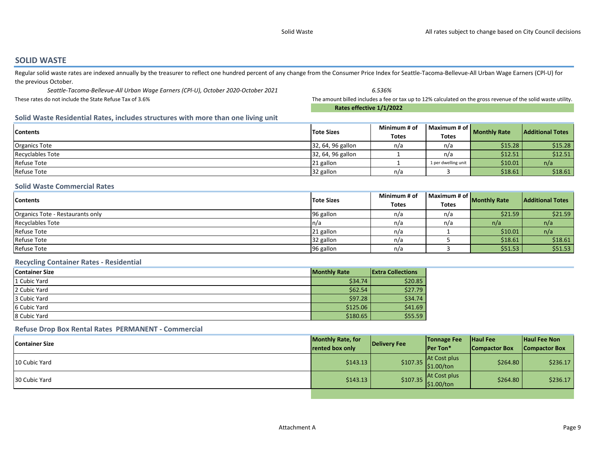#### <span id="page-8-0"></span>SOLID WASTE

Regular solid waste rates are indexed annually by the treasurer to reflect one hundred percent of any change from the Consumer Price Index for Seattle-Tacoma-Bellevue-All Urban Wage Earners (CPI-U) for the previous October.

 Seattle-Tacoma-Bellevue-All Urban Wage Earners (CPl-U), October 2020-October 2021 6.536%% Summer amount billed includes a fee or tax up to 12% calculated on the gross revenue of the solid waste utility. These rates do not include the State Refuse Tax of 3.6%

Rates effective 1/1/2022

#### Solid Waste Residential Rates, includes structures with more than one living unit

| <b>Contents</b>      | <b>Tote Sizes</b> | Minimum # of | Maximum # of        | <b>Monthly Rate</b> | <b>Additional Totes</b> |
|----------------------|-------------------|--------------|---------------------|---------------------|-------------------------|
|                      |                   | <b>Totes</b> | <b>Totes</b>        |                     |                         |
| <b>Organics Tote</b> | 32, 64, 96 gallon | n/a          | n/a                 | \$15.28             | \$15.28                 |
| Recyclables Tote     | 32, 64, 96 gallon |              | n/a                 | \$12.51             | \$12.51                 |
| <b>Refuse Tote</b>   | 21 gallon         |              | 1 per dwelling unit | \$10.01             | n/a                     |
| <b>Refuse Tote</b>   | 32 gallon         | n/a          |                     | \$18.61             | \$18.61                 |

#### Solid Waste Commercial Rates

| <b>Contents</b>                  | <b>Tote Sizes</b> | Minimum # of | Maximum # of $\mathsf I$ | <b>Monthly Rate</b> | <b>Additional Totes</b> |
|----------------------------------|-------------------|--------------|--------------------------|---------------------|-------------------------|
|                                  |                   | <b>Totes</b> | <b>Totes</b>             |                     |                         |
| Organics Tote - Restaurants only | 96 gallon         | n/a          | n/a                      | \$21.59             | \$21.59                 |
| <b>Recyclables Tote</b>          | In/a              | n/a          | n/a                      | n/a                 | n/a                     |
| <b>Refuse Tote</b>               | 21 gallon         | n/a          |                          | \$10.01             | n/a                     |
| <b>Refuse Tote</b>               | 32 gallon         | n/a          |                          | \$18.61             | \$18.61                 |
| <b>Refuse Tote</b>               | 96 gallon         | n/a          |                          | \$51.53             | \$51.53                 |

#### Recycling Container Rates - Residential

| <b>Container Size</b> | <b>Monthly Rate</b> | <b>Extra Collections</b> |
|-----------------------|---------------------|--------------------------|
| 1 Cubic Yard          | \$34.74             | \$20.85                  |
| 2 Cubic Yard          | \$62.54             | \$27.79                  |
| 3 Cubic Yard          | \$97.28             | \$34.74                  |
| 6 Cubic Yard          | \$125.06            | \$41.69                  |
| 8 Cubic Yard          | \$180.65            | \$55.59                  |

#### Refuse Drop Box Rental Rates PERMANENT - Commercial

| <b>Container Size</b> | <b>Monthly Rate, for</b><br>rented box only | Delivery Fee | <b>Tonnage Fee</b><br><b>Per Ton*</b> | <b>Haul Fee</b><br><b>Compactor Box</b> | Haul Fee Non<br><b>Compactor Box</b> |
|-----------------------|---------------------------------------------|--------------|---------------------------------------|-----------------------------------------|--------------------------------------|
| 10 Cubic Yard         | \$143.13                                    | \$107.35     | At Cost plus<br> \$1.00/ton           | \$264.80                                | \$236.17                             |
| 30 Cubic Yard         | \$143.13                                    | \$107.35     | At Cost plus<br>$\frac{1}{2}$ .00/ton | \$264.80                                | \$236.17                             |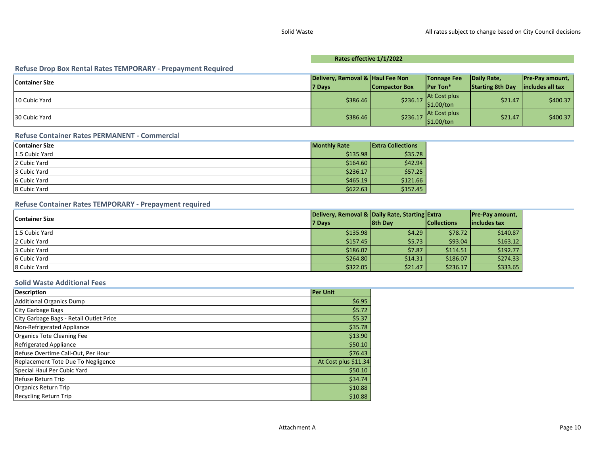#### Rates effective 1/1/2022

| Refuse Drop Box Rental Rates TEMPORARY - Prepayment Required |                                  |                      |                        |                         |                        |
|--------------------------------------------------------------|----------------------------------|----------------------|------------------------|-------------------------|------------------------|
| <b>Container Size</b>                                        | Delivery, Removal & Haul Fee Non |                      | <b>Tonnage Fee</b>     | Daily Rate,             | <b>Pre-Pay amount,</b> |
|                                                              | 7 Days                           | <b>Compactor Box</b> | <b>Per Ton*</b>        | <b>Starting 8th Day</b> | includes all tax       |
| 10 Cubic Yard                                                | \$386.46                         | \$236.17             | <b>At Cost plus</b>    | \$21.47                 | \$400.37               |
|                                                              |                                  |                      | $\frac{1}{2}$ 1.00/ton |                         |                        |
| 30 Cubic Yard                                                | \$386.46                         | \$236.17             | At Cost plus           | \$21.47                 | \$400.37               |
|                                                              |                                  |                      | $\frac{1}{2}$ .00/ton  |                         |                        |

#### Refuse Container Rates PERMANENT - Commercial

| <b>Container Size</b> | <b>Monthly Rate</b> | <b>Extra Collections</b> |
|-----------------------|---------------------|--------------------------|
| 1.5 Cubic Yard        | \$135.98            | \$35.78                  |
| 2 Cubic Yard          | \$164.60            | \$42.94                  |
| 3 Cubic Yard          | \$236.17            | \$57.25                  |
| 6 Cubic Yard          | \$465.19            | \$121.66                 |
| 8 Cubic Yard          | \$622.63            | \$157.45                 |

#### Refuse Container Rates TEMPORARY - Prepayment required

| Container Size | Delivery, Removal & Daily Rate, Starting Extra |                |                    | <b>Pre-Pay amount,</b> |
|----------------|------------------------------------------------|----------------|--------------------|------------------------|
|                | 7 Days                                         | <b>8th Day</b> | <b>Collections</b> | lincludes tax          |
| 1.5 Cubic Yard | \$135.98                                       | \$4.29         | \$78.72            | \$140.87               |
| 2 Cubic Yard   | \$157.45                                       | \$5.73         | \$93.04            | \$163.12               |
| 3 Cubic Yard   | \$186.07                                       | \$7.87         | \$114.51           | \$192.77               |
| 6 Cubic Yard   | \$264.80                                       | \$14.31        | \$186.07           | \$274.33               |
| 8 Cubic Yard   | \$322.05                                       | \$21.47        | \$236.17           | \$333.65               |

#### Solid Waste Additional Fees

| <b>Description</b>                      | <b>Per Unit</b>      |
|-----------------------------------------|----------------------|
| <b>Additional Organics Dump</b>         | \$6.95               |
| City Garbage Bags                       | \$5.72               |
| City Garbage Bags - Retail Outlet Price | \$5.37               |
| Non-Refrigerated Appliance              | \$35.78              |
| <b>Organics Tote Cleaning Fee</b>       | \$13.90              |
| <b>Refrigerated Appliance</b>           | \$50.10              |
| Refuse Overtime Call-Out, Per Hour      | \$76.43              |
| Replacement Tote Due To Negligence      | At Cost plus \$11.34 |
| Special Haul Per Cubic Yard             | \$50.10              |
| Refuse Return Trip                      | \$34.74              |
| <b>Organics Return Trip</b>             | \$10.88              |
| <b>Recycling Return Trip</b>            | \$10.88              |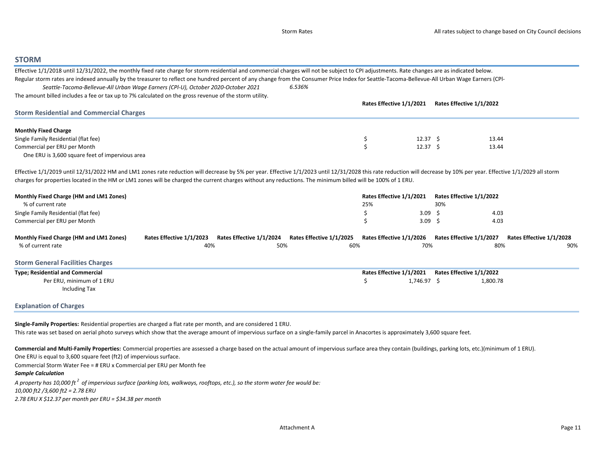#### <span id="page-10-0"></span>**STORM**

| Effective 1/1/2018 until 12/31/2022, the monthly fixed rate charge for storm residential and commercial charges will not be subject to CPI adjustments. Rate changes are as indicated below.                          |                          |                          |                          |                          |                          |                          |
|-----------------------------------------------------------------------------------------------------------------------------------------------------------------------------------------------------------------------|--------------------------|--------------------------|--------------------------|--------------------------|--------------------------|--------------------------|
| Regular storm rates are indexed annually by the treasurer to reflect one hundred percent of any change from the Consumer Price Index for Seattle-Tacoma-Bellevue-All Urban Wage Earners (CPI-                         |                          |                          |                          |                          |                          |                          |
| Seattle-Tacoma-Bellevue-All Urban Wage Earners (CPI-U), October 2020-October 2021                                                                                                                                     |                          |                          | 6.536%                   |                          |                          |                          |
| The amount billed includes a fee or tax up to 7% calculated on the gross revenue of the storm utility.                                                                                                                |                          |                          |                          |                          |                          |                          |
|                                                                                                                                                                                                                       |                          |                          |                          | Rates Effective 1/1/2021 | Rates Effective 1/1/2022 |                          |
| <b>Storm Residential and Commercial Charges</b>                                                                                                                                                                       |                          |                          |                          |                          |                          |                          |
|                                                                                                                                                                                                                       |                          |                          |                          |                          |                          |                          |
| <b>Monthly Fixed Charge</b>                                                                                                                                                                                           |                          |                          |                          |                          |                          |                          |
|                                                                                                                                                                                                                       |                          |                          |                          |                          |                          |                          |
| Single Family Residential (flat fee)                                                                                                                                                                                  |                          |                          |                          | $12.37 \pm 5$<br>$\zeta$ | 13.44                    |                          |
| Commercial per ERU per Month                                                                                                                                                                                          |                          |                          |                          | 12.37 <sup>5</sup>       | 13.44                    |                          |
| One ERU is 3,600 square feet of impervious area                                                                                                                                                                       |                          |                          |                          |                          |                          |                          |
|                                                                                                                                                                                                                       |                          |                          |                          |                          |                          |                          |
| Effective 1/1/2019 until 12/31/2022 HM and LM1 zones rate reduction will decrease by 5% per year. Effective 1/1/2023 until 12/31/2028 this rate reduction will decrease by 10% per year. Effective 1/1/2029 all storm |                          |                          |                          |                          |                          |                          |
| charges for properties located in the HM or LM1 zones will be charged the current charges without any reductions. The minimum billed will be 100% of 1 ERU.                                                           |                          |                          |                          |                          |                          |                          |
| Monthly Fixed Charge (HM and LM1 Zones)                                                                                                                                                                               |                          |                          |                          | Rates Effective 1/1/2021 | Rates Effective 1/1/2022 |                          |
| % of current rate                                                                                                                                                                                                     |                          |                          |                          | 25%                      | 30%                      |                          |
| Single Family Residential (flat fee)                                                                                                                                                                                  |                          |                          |                          | \$<br>3.09 <sup>5</sup>  | 4.03                     |                          |
| Commercial per ERU per Month                                                                                                                                                                                          |                          |                          |                          | Ś<br>3.09 <sup>5</sup>   | 4.03                     |                          |
|                                                                                                                                                                                                                       |                          |                          |                          |                          |                          |                          |
| Monthly Fixed Charge (HM and LM1 Zones)                                                                                                                                                                               | Rates Effective 1/1/2023 | Rates Effective 1/1/2024 | Rates Effective 1/1/2025 | Rates Effective 1/1/2026 | Rates Effective 1/1/2027 | Rates Effective 1/1/2028 |
| % of current rate                                                                                                                                                                                                     | 40%                      | 50%                      | 60%                      | 70%                      | 80%                      | 90%                      |
|                                                                                                                                                                                                                       |                          |                          |                          |                          |                          |                          |
| <b>Storm General Facilities Charges</b>                                                                                                                                                                               |                          |                          |                          |                          |                          |                          |
| <b>Type; Residential and Commercial</b>                                                                                                                                                                               |                          |                          |                          | Rates Effective 1/1/2021 | Rates Effective 1/1/2022 |                          |
| Per ERU, minimum of 1 ERU                                                                                                                                                                                             |                          |                          |                          | Ŝ<br>1,746.97 \$         | 1,800.78                 |                          |
| <b>Including Tax</b>                                                                                                                                                                                                  |                          |                          |                          |                          |                          |                          |
|                                                                                                                                                                                                                       |                          |                          |                          |                          |                          |                          |
| <b>Explanation of Charges</b>                                                                                                                                                                                         |                          |                          |                          |                          |                          |                          |
|                                                                                                                                                                                                                       |                          |                          |                          |                          |                          |                          |

Single-Family Properties: Residential properties are charged a flat rate per month, and are considered 1 ERU.

This rate was set based on aerial photo surveys which show that the average amount of impervious surface on a single-family parcel in Anacortes is approximately 3,600 square feet.

Commercial and Multi-Family Properties: Commercial properties are assessed a charge based on the actual amount of impervious surface area they contain (buildings, parking lots, etc.)(minimum of 1 ERU). One ERU is equal to 3,600 square feet (ft2) of impervious surface.

Commercial Storm Water Fee = # ERU x Commercial per ERU per Month fee

Sample Calculation

A property has 10,000 ft  $^2$  of impervious surface (parking lots, walkways, rooftops, etc.), so the storm water fee would be: 10,000 ft2 /3,600 ft2 = 2.78 ERU2.78 ERU X \$12.37 per month per ERU = \$34.38 per month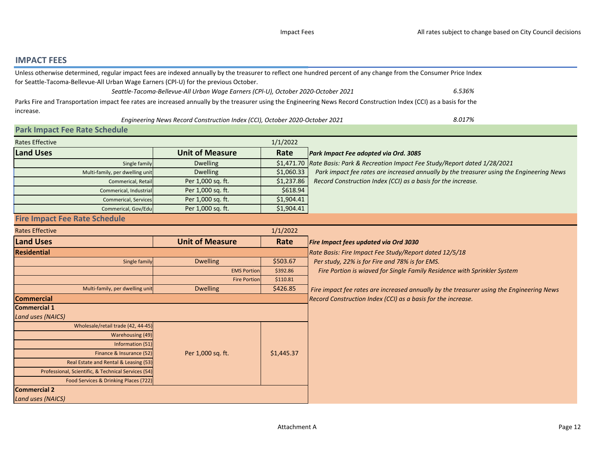### <span id="page-11-0"></span>IMPACT FEES

|                                                                                      |                                                                                   |            | Unless otherwise determined, regular impact fees are indexed annually by the treasurer to reflect one hundred percent of any change from the Consumer Price Index    |
|--------------------------------------------------------------------------------------|-----------------------------------------------------------------------------------|------------|----------------------------------------------------------------------------------------------------------------------------------------------------------------------|
| for Seattle-Tacoma-Bellevue-All Urban Wage Earners (CPI-U) for the previous October. |                                                                                   |            |                                                                                                                                                                      |
|                                                                                      | Seattle-Tacoma-Bellevue-All Urban Wage Earners (CPI-U), October 2020-October 2021 |            | 6.536%                                                                                                                                                               |
|                                                                                      |                                                                                   |            | Parks Fire and Transportation impact fee rates are increased annually by the treasurer using the Engineering News Record Construction Index (CCI) as a basis for the |
| increase.                                                                            |                                                                                   |            |                                                                                                                                                                      |
|                                                                                      | Engineering News Record Construction Index (CCI), October 2020-October 2021       |            | 8.017%                                                                                                                                                               |
| <b>Park Impact Fee Rate Schedule</b>                                                 |                                                                                   |            |                                                                                                                                                                      |
| <b>Rates Effective</b>                                                               |                                                                                   | 1/1/2022   |                                                                                                                                                                      |
| <b>Land Uses</b>                                                                     | <b>Unit of Measure</b>                                                            | Rate       | Park Impact Fee adopted via Ord. 3085                                                                                                                                |
| Single family                                                                        | <b>Dwelling</b>                                                                   |            | \$1,471.70 Rate Basis: Park & Recreation Impact Fee Study/Report dated 1/28/2021                                                                                     |
| Multi-family, per dwelling unit                                                      | <b>Dwelling</b>                                                                   | \$1,060.33 | Park impact fee rates are increased annually by the treasurer using the Engineering News                                                                             |
| Commerical, Retail                                                                   | Per 1,000 sq. ft.                                                                 | \$1,237.86 | Record Construction Index (CCI) as a basis for the increase.                                                                                                         |
| Commerical, Industria                                                                | Per 1,000 sq. ft.                                                                 | \$618.94   |                                                                                                                                                                      |
| <b>Commerical, Services</b>                                                          | Per 1,000 sq. ft.                                                                 | \$1,904.41 |                                                                                                                                                                      |
| Commerical, Gov/Edu                                                                  | Per 1,000 sq. ft.                                                                 | \$1,904.41 |                                                                                                                                                                      |
| <b>Fire Impact Fee Rate Schedule</b>                                                 |                                                                                   |            |                                                                                                                                                                      |
| <b>Rates Effective</b>                                                               |                                                                                   | 1/1/2022   |                                                                                                                                                                      |
| <b>Land Uses</b>                                                                     | <b>Unit of Measure</b>                                                            | Rate       | Fire Impact fees updated via Ord 3030                                                                                                                                |
| <b>Residential</b>                                                                   |                                                                                   |            | Rate Basis: Fire Impact Fee Study/Report dated 12/5/18                                                                                                               |
| Single family                                                                        | <b>Dwelling</b>                                                                   | \$503.67   | Per study, 22% is for Fire and 78% is for EMS.                                                                                                                       |
|                                                                                      | <b>EMS Portion</b>                                                                | \$392.86   | Fire Portion is wiaved for Single Family Residence with Sprinkler System                                                                                             |
|                                                                                      | <b>Fire Portion</b>                                                               | \$110.81   |                                                                                                                                                                      |
| Multi-family, per dwelling unit                                                      | <b>Dwelling</b>                                                                   | \$426.85   | Fire impact fee rates are increased annually by the treasurer using the Engineering News                                                                             |
| <b>Commercial</b>                                                                    |                                                                                   |            | Record Construction Index (CCI) as a basis for the increase.                                                                                                         |
| <b>Commercial 1</b>                                                                  |                                                                                   |            |                                                                                                                                                                      |
| Land uses (NAICS)                                                                    |                                                                                   |            |                                                                                                                                                                      |
| Wholesale/retail trade (42, 44-45)                                                   |                                                                                   |            |                                                                                                                                                                      |
| <b>Warehousing (49)</b>                                                              |                                                                                   |            |                                                                                                                                                                      |
| Information (51)                                                                     |                                                                                   |            |                                                                                                                                                                      |
| Finance & Insurance (52)                                                             | Per 1,000 sq. ft.                                                                 | \$1,445.37 |                                                                                                                                                                      |
| Real Estate and Rental & Leasing (53)                                                |                                                                                   |            |                                                                                                                                                                      |
| Professional, Scientific, & Technical Services (54)                                  |                                                                                   |            |                                                                                                                                                                      |
| Food Services & Drinking Places (722)                                                |                                                                                   |            |                                                                                                                                                                      |
| <b>Commercial 2</b><br>Land uses (NAICS)                                             |                                                                                   |            |                                                                                                                                                                      |
|                                                                                      |                                                                                   |            |                                                                                                                                                                      |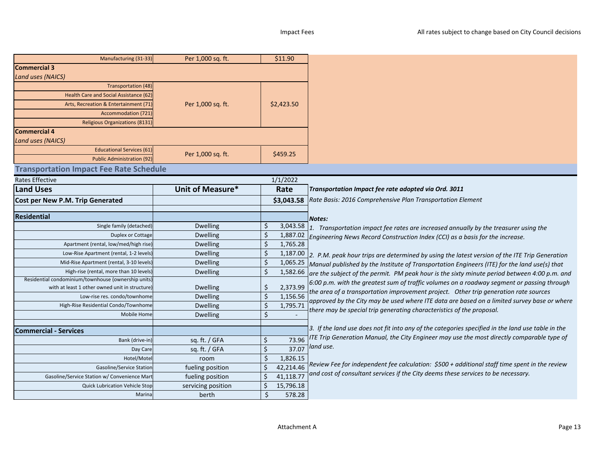| <b>Commercial 3</b><br><b>Land uses (NAICS)</b><br>Transportation (48)<br>Health Care and Social Assistance (62)<br>Per 1,000 sq. ft.<br>\$2,423.50<br>Arts, Recreation & Entertainment (71<br><b>Accommodation (721</b><br>Religious Organizations (8131)<br><b>Commercial 4</b><br>Land uses (NAICS)<br><b>Educational Services (61)</b><br>Per 1,000 sq. ft.<br>\$459.25<br><b>Public Administration (92)</b><br><b>Transportation Impact Fee Rate Schedule</b><br><b>Rates Effective</b><br>1/1/2022 | Manufacturing (31-33) | Per 1,000 sq. ft. | \$11.90 |                                                                                             |
|----------------------------------------------------------------------------------------------------------------------------------------------------------------------------------------------------------------------------------------------------------------------------------------------------------------------------------------------------------------------------------------------------------------------------------------------------------------------------------------------------------|-----------------------|-------------------|---------|---------------------------------------------------------------------------------------------|
|                                                                                                                                                                                                                                                                                                                                                                                                                                                                                                          |                       |                   |         |                                                                                             |
|                                                                                                                                                                                                                                                                                                                                                                                                                                                                                                          |                       |                   |         |                                                                                             |
|                                                                                                                                                                                                                                                                                                                                                                                                                                                                                                          |                       |                   |         |                                                                                             |
|                                                                                                                                                                                                                                                                                                                                                                                                                                                                                                          |                       |                   |         |                                                                                             |
|                                                                                                                                                                                                                                                                                                                                                                                                                                                                                                          |                       |                   |         |                                                                                             |
|                                                                                                                                                                                                                                                                                                                                                                                                                                                                                                          |                       |                   |         |                                                                                             |
|                                                                                                                                                                                                                                                                                                                                                                                                                                                                                                          |                       |                   |         |                                                                                             |
|                                                                                                                                                                                                                                                                                                                                                                                                                                                                                                          |                       |                   |         |                                                                                             |
|                                                                                                                                                                                                                                                                                                                                                                                                                                                                                                          |                       |                   |         |                                                                                             |
|                                                                                                                                                                                                                                                                                                                                                                                                                                                                                                          |                       |                   |         |                                                                                             |
|                                                                                                                                                                                                                                                                                                                                                                                                                                                                                                          |                       |                   |         |                                                                                             |
|                                                                                                                                                                                                                                                                                                                                                                                                                                                                                                          |                       |                   |         |                                                                                             |
|                                                                                                                                                                                                                                                                                                                                                                                                                                                                                                          |                       |                   |         |                                                                                             |
|                                                                                                                                                                                                                                                                                                                                                                                                                                                                                                          | <b>Land Uses</b>      | Unit of Measure*  | Rate    | Transportation Impact fee rate adopted via Ord. 3011                                        |
| Cost per New P.M. Trip Generated<br>Rate Basis: 2016 Comprehensive Plan Transportation Element<br>\$3,043.58                                                                                                                                                                                                                                                                                                                                                                                             |                       |                   |         |                                                                                             |
|                                                                                                                                                                                                                                                                                                                                                                                                                                                                                                          |                       |                   |         |                                                                                             |
| <b>Residential</b><br>Notes:                                                                                                                                                                                                                                                                                                                                                                                                                                                                             |                       |                   |         |                                                                                             |
| <b>Dwelling</b><br>\$<br>3,043.58<br>Single family (detached)<br>1. Transportation impact fee rates are increased annually by the treasurer using the                                                                                                                                                                                                                                                                                                                                                    |                       |                   |         |                                                                                             |
| \$<br><b>Dwelling</b><br>Duplex or Cottage<br>1,887.02<br>Engineering News Record Construction Index (CCI) as a basis for the increase.                                                                                                                                                                                                                                                                                                                                                                  |                       |                   |         |                                                                                             |
| $\zeta$<br>Apartment (rental, low/med/high rise)<br><b>Dwelling</b><br>1,765.28                                                                                                                                                                                                                                                                                                                                                                                                                          |                       |                   |         |                                                                                             |
| \$<br>Low-Rise Apartment (rental, 1-2 levels)<br><b>Dwelling</b><br>1,187.00<br>2. P.M. peak hour trips are determined by using the latest version of the ITE Trip Generation                                                                                                                                                                                                                                                                                                                            |                       |                   |         |                                                                                             |
| $\zeta$<br><b>Dwelling</b><br>Mid-Rise Apartment (rental, 3-10 levels)<br>1,065.25<br>Manual published by the Institute of Transportation Engineers (ITE) for the land use(s) that                                                                                                                                                                                                                                                                                                                       |                       |                   |         |                                                                                             |
| Ś<br><b>Dwelling</b><br>1,582.66<br>High-rise (rental, more than 10 levels<br>are the subject of the permit. PM peak hour is the sixty minute period between 4:00 p.m. and                                                                                                                                                                                                                                                                                                                               |                       |                   |         |                                                                                             |
| Residential condominium/townhouse (ownership units<br>6:00 p.m. with the greatest sum of traffic volumes on a roadway segment or passing through                                                                                                                                                                                                                                                                                                                                                         |                       |                   |         |                                                                                             |
| <b>Dwelling</b><br>\$<br>2,373.99<br>with at least 1 other owned unit in structure<br>the area of a transportation improvement project. Other trip generation rate sources                                                                                                                                                                                                                                                                                                                               |                       |                   |         |                                                                                             |
| $\zeta$<br>Low-rise res. condo/townhome<br><b>Dwelling</b><br>1,156.56                                                                                                                                                                                                                                                                                                                                                                                                                                   |                       |                   |         | approved by the City may be used where ITE data are based on a limited survey base or where |
| \$<br>High-Rise Residential Condo/Townhome<br><b>Dwelling</b><br>1,795.71<br>there may be special trip generating characteristics of the proposal.                                                                                                                                                                                                                                                                                                                                                       |                       |                   |         |                                                                                             |
| $\zeta$<br><b>Dwelling</b><br>Mobile Home                                                                                                                                                                                                                                                                                                                                                                                                                                                                |                       |                   |         |                                                                                             |
| 3. If the land use does not fit into any of the categories specified in the land use table in the<br><b>Commercial - Services</b>                                                                                                                                                                                                                                                                                                                                                                        |                       |                   |         |                                                                                             |
| ITE Trip Generation Manual, the City Engineer may use the most directly comparable type of<br>73.96<br>sq. ft. / GFA<br>\$<br>Bank (drive-in)                                                                                                                                                                                                                                                                                                                                                            |                       |                   |         |                                                                                             |
| land use.<br>$\zeta$<br>37.07<br>sq. ft. / GFA<br>Day Care                                                                                                                                                                                                                                                                                                                                                                                                                                               |                       |                   |         |                                                                                             |
| $\zeta$<br>Hotel/Motel<br>1,826.15<br>room                                                                                                                                                                                                                                                                                                                                                                                                                                                               |                       |                   |         |                                                                                             |
| Review Fee for independent fee calculation: \$500 + additional staff time spent in the review<br>Ś<br>42,214.46<br>Gasoline/Service Station<br>fueling position                                                                                                                                                                                                                                                                                                                                          |                       |                   |         |                                                                                             |
| and cost of consultant services if the City deems these services to be necessary.<br>Gasoline/Service Station w/ Convenience Mart<br>Ś<br>41,118.77<br>fueling position                                                                                                                                                                                                                                                                                                                                  |                       |                   |         |                                                                                             |
| \$<br>15,796.18<br>Quick Lubrication Vehicle Stop<br>servicing position                                                                                                                                                                                                                                                                                                                                                                                                                                  |                       |                   |         |                                                                                             |
| Ś.<br>578.28<br>Marina<br>berth                                                                                                                                                                                                                                                                                                                                                                                                                                                                          |                       |                   |         |                                                                                             |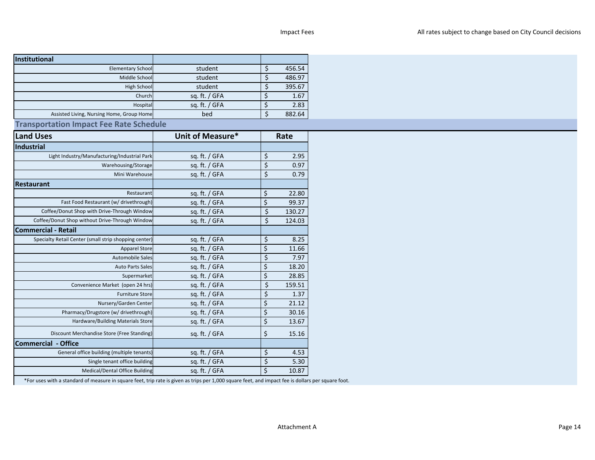| Institutional                                         |                  |                          |        |
|-------------------------------------------------------|------------------|--------------------------|--------|
| <b>Elementary School</b>                              | student          | \$                       | 456.54 |
| Middle School                                         | student          | $\zeta$                  | 486.97 |
| <b>High School</b>                                    | student          | \$                       | 395.67 |
| Church                                                | sq. ft. / GFA    | \$                       | 1.67   |
| Hospital                                              | sq. ft. / GFA    | \$                       | 2.83   |
| Assisted Living, Nursing Home, Group Home             | bed              | \$                       | 882.64 |
| <b>Transportation Impact Fee Rate Schedule</b>        |                  |                          |        |
| <b>Land Uses</b>                                      | Unit of Measure* |                          | Rate   |
| Industrial                                            |                  |                          |        |
| Light Industry/Manufacturing/Industrial Park          | sq. ft. / GFA    | \$                       | 2.95   |
| Warehousing/Storage                                   | sq. ft. / GFA    | \$                       | 0.97   |
| Mini Warehouse                                        | sq. ft. / GFA    | $\overline{\mathcal{S}}$ | 0.79   |
| <b>Restaurant</b>                                     |                  |                          |        |
| Restaurant                                            | sq. ft. / GFA    | \$                       | 22.80  |
| Fast Food Restaurant (w/ drivethrough)                | sq. ft. / GFA    | $\zeta$                  | 99.37  |
| Coffee/Donut Shop with Drive-Through Window           | sq. ft. / GFA    | $\overline{\xi}$         | 130.27 |
| Coffee/Donut Shop without Drive-Through Window        | sq. ft. / GFA    | \$                       | 124.03 |
| <b>Commercial - Retail</b>                            |                  |                          |        |
| Specialty Retail Center (small strip shopping center) | sq. ft. / GFA    | \$                       | 8.25   |
| <b>Apparel Store</b>                                  | sq. ft. / GFA    | $\overline{\varsigma}$   | 11.66  |
| Automobile Sales                                      | sq. ft. / GFA    | \$                       | 7.97   |
| <b>Auto Parts Sales</b>                               | sq. ft. / GFA    | \$                       | 18.20  |
| Supermarket                                           | sq. ft. / GFA    | \$                       | 28.85  |
| Convenience Market (open 24 hrs)                      | sq. ft. / GFA    | \$                       | 159.51 |
| <b>Furniture Store</b>                                | sq. ft. / GFA    | \$                       | 1.37   |
| Nursery/Garden Center                                 | sq. ft. / GFA    | $\zeta$                  | 21.12  |
| Pharmacy/Drugstore (w/ drivethrough)                  | sq. ft. / GFA    | \$                       | 30.16  |
| Hardware/Building Materials Store                     | sq. ft. / GFA    | \$                       | 13.67  |
|                                                       |                  |                          |        |
| Discount Merchandise Store (Free Standing)            | sq. ft. / GFA    | $\zeta$                  | 15.16  |
| <b>Commercial - Office</b>                            |                  |                          |        |
| General office building (multiple tenants)            | sq. ft. / GFA    | \$                       | 4.53   |
| Single tenant office building                         | sq. ft. / GFA    | $\zeta$                  | 5.30   |
| <b>Medical/Dental Office Building</b>                 | sq. ft. / GFA    | $\zeta$                  | 10.87  |
|                                                       |                  |                          |        |

\*For uses with a standard of measure in square feet, trip rate is given as trips per 1,000 square feet, and impact fee is dollars per square foot.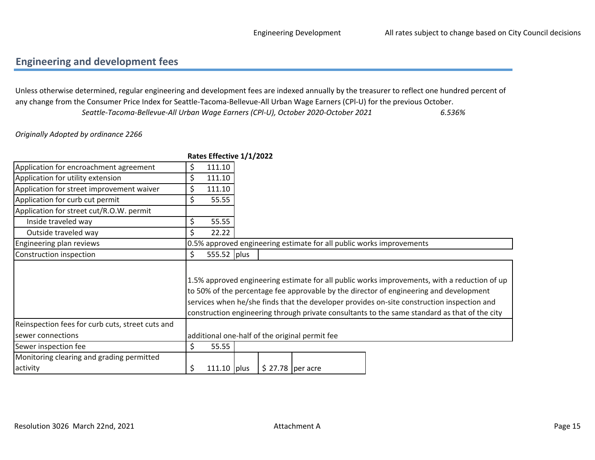### <span id="page-14-0"></span>Engineering and development fees

6.536%Unless otherwise determined, regular engineering and development fees are indexed annually by the treasurer to reflect one hundred percent of any change from the Consumer Price Index for Seattle-Tacoma-Bellevue-All Urban Wage Earners (CPl-U) for the previous October.Seattle-Tacoma-Bellevue-All Urban Wage Earners (CPl-U), October 2020-October 2021

#### Originally Adopted by ordinance 2266

|                                                  |                                                                                                                                                                                                                                                                                                                                                                                       | Rates Effective 1/1/2022 |  |                    |                                                                      |  |
|--------------------------------------------------|---------------------------------------------------------------------------------------------------------------------------------------------------------------------------------------------------------------------------------------------------------------------------------------------------------------------------------------------------------------------------------------|--------------------------|--|--------------------|----------------------------------------------------------------------|--|
| Application for encroachment agreement           | \$                                                                                                                                                                                                                                                                                                                                                                                    | 111.10                   |  |                    |                                                                      |  |
| Application for utility extension                | \$                                                                                                                                                                                                                                                                                                                                                                                    | 111.10                   |  |                    |                                                                      |  |
| Application for street improvement waiver        | \$                                                                                                                                                                                                                                                                                                                                                                                    | 111.10                   |  |                    |                                                                      |  |
| Application for curb cut permit                  | \$                                                                                                                                                                                                                                                                                                                                                                                    | 55.55                    |  |                    |                                                                      |  |
| Application for street cut/R.O.W. permit         |                                                                                                                                                                                                                                                                                                                                                                                       |                          |  |                    |                                                                      |  |
| Inside traveled way                              | \$                                                                                                                                                                                                                                                                                                                                                                                    | 55.55                    |  |                    |                                                                      |  |
| Outside traveled way                             | Ś.                                                                                                                                                                                                                                                                                                                                                                                    | 22.22                    |  |                    |                                                                      |  |
| Engineering plan reviews                         |                                                                                                                                                                                                                                                                                                                                                                                       |                          |  |                    | 0.5% approved engineering estimate for all public works improvements |  |
| Construction inspection                          | \$                                                                                                                                                                                                                                                                                                                                                                                    | 555.52 plus              |  |                    |                                                                      |  |
|                                                  | 1.5% approved engineering estimate for all public works improvements, with a reduction of up<br>to 50% of the percentage fee approvable by the director of engineering and development<br>services when he/she finds that the developer provides on-site construction inspection and<br>construction engineering through private consultants to the same standard as that of the city |                          |  |                    |                                                                      |  |
| Reinspection fees for curb cuts, street cuts and |                                                                                                                                                                                                                                                                                                                                                                                       |                          |  |                    |                                                                      |  |
| sewer connections                                |                                                                                                                                                                                                                                                                                                                                                                                       |                          |  |                    | additional one-half of the original permit fee                       |  |
| Sewer inspection fee                             | \$                                                                                                                                                                                                                                                                                                                                                                                    | 55.55                    |  |                    |                                                                      |  |
| Monitoring clearing and grading permitted        |                                                                                                                                                                                                                                                                                                                                                                                       |                          |  |                    |                                                                      |  |
| activity                                         | \$                                                                                                                                                                                                                                                                                                                                                                                    | $111.10$ plus            |  | $$27.78$  per acre |                                                                      |  |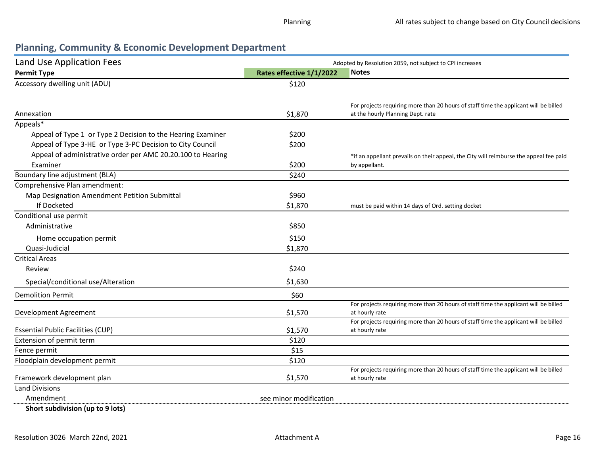### Planning, Community & Economic Development Department

| Land Use Application Fees                                   |                          | Adopted by Resolution 2059, not subject to CPI increases                                                                  |  |  |  |
|-------------------------------------------------------------|--------------------------|---------------------------------------------------------------------------------------------------------------------------|--|--|--|
| <b>Permit Type</b>                                          | Rates effective 1/1/2022 | <b>Notes</b>                                                                                                              |  |  |  |
| Accessory dwelling unit (ADU)                               | \$120                    |                                                                                                                           |  |  |  |
|                                                             |                          |                                                                                                                           |  |  |  |
| Annexation                                                  | \$1,870                  | For projects requiring more than 20 hours of staff time the applicant will be billed<br>at the hourly Planning Dept. rate |  |  |  |
| Appeals*                                                    |                          |                                                                                                                           |  |  |  |
| Appeal of Type 1 or Type 2 Decision to the Hearing Examiner | \$200                    |                                                                                                                           |  |  |  |
| Appeal of Type 3-HE or Type 3-PC Decision to City Council   | \$200                    |                                                                                                                           |  |  |  |
| Appeal of administrative order per AMC 20.20.100 to Hearing |                          | *if an appellant prevails on their appeal, the City will reimburse the appeal fee paid                                    |  |  |  |
| Examiner                                                    | \$200                    | by appellant.                                                                                                             |  |  |  |
| Boundary line adjustment (BLA)                              | \$240                    |                                                                                                                           |  |  |  |
| Comprehensive Plan amendment:                               |                          |                                                                                                                           |  |  |  |
| Map Designation Amendment Petition Submittal                | \$960                    |                                                                                                                           |  |  |  |
| If Docketed                                                 | \$1,870                  | must be paid within 14 days of Ord. setting docket                                                                        |  |  |  |
| Conditional use permit                                      |                          |                                                                                                                           |  |  |  |
| Administrative                                              | \$850                    |                                                                                                                           |  |  |  |
| Home occupation permit                                      | \$150                    |                                                                                                                           |  |  |  |
| Quasi-Judicial                                              | \$1,870                  |                                                                                                                           |  |  |  |
| <b>Critical Areas</b>                                       |                          |                                                                                                                           |  |  |  |
| Review                                                      | \$240                    |                                                                                                                           |  |  |  |
| Special/conditional use/Alteration                          | \$1,630                  |                                                                                                                           |  |  |  |
| <b>Demolition Permit</b>                                    | \$60                     |                                                                                                                           |  |  |  |
|                                                             |                          | For projects requiring more than 20 hours of staff time the applicant will be billed                                      |  |  |  |
| Development Agreement                                       | \$1,570                  | at hourly rate                                                                                                            |  |  |  |
| <b>Essential Public Facilities (CUP)</b>                    | \$1,570                  | For projects requiring more than 20 hours of staff time the applicant will be billed<br>at hourly rate                    |  |  |  |
| Extension of permit term                                    | \$120                    |                                                                                                                           |  |  |  |
| Fence permit                                                | \$15                     |                                                                                                                           |  |  |  |
| Floodplain development permit                               | \$120                    |                                                                                                                           |  |  |  |
|                                                             |                          | For projects requiring more than 20 hours of staff time the applicant will be billed                                      |  |  |  |
| Framework development plan                                  | \$1,570                  | at hourly rate                                                                                                            |  |  |  |
| <b>Land Divisions</b>                                       |                          |                                                                                                                           |  |  |  |
| Amendment                                                   | see minor modification   |                                                                                                                           |  |  |  |
| Short subdivision (up to 9 lots)                            |                          |                                                                                                                           |  |  |  |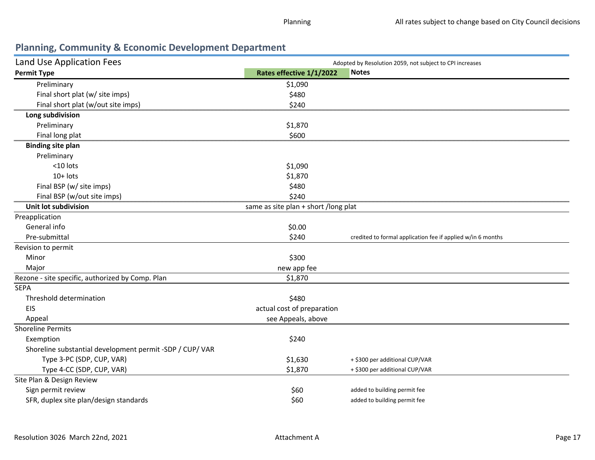### Planning, Community & Economic Development Department

| Land Use Application Fees                                |                                      | Adopted by Resolution 2059, not subject to CPI increases    |
|----------------------------------------------------------|--------------------------------------|-------------------------------------------------------------|
| <b>Permit Type</b>                                       | Rates effective 1/1/2022             | <b>Notes</b>                                                |
| Preliminary                                              | \$1,090                              |                                                             |
| Final short plat (w/ site imps)                          | \$480                                |                                                             |
| Final short plat (w/out site imps)                       | \$240                                |                                                             |
| Long subdivision                                         |                                      |                                                             |
| Preliminary                                              | \$1,870                              |                                                             |
| Final long plat                                          | \$600                                |                                                             |
| <b>Binding site plan</b>                                 |                                      |                                                             |
| Preliminary                                              |                                      |                                                             |
| <10 lots                                                 | \$1,090                              |                                                             |
| $10+$ lots                                               | \$1,870                              |                                                             |
| Final BSP (w/ site imps)                                 | \$480                                |                                                             |
| Final BSP (w/out site imps)                              | \$240                                |                                                             |
| <b>Unit lot subdivision</b>                              | same as site plan + short /long plat |                                                             |
| Preapplication                                           |                                      |                                                             |
| General info                                             | \$0.00                               |                                                             |
| Pre-submittal                                            | \$240                                | credited to formal application fee if applied w/in 6 months |
| Revision to permit                                       |                                      |                                                             |
| Minor                                                    | \$300                                |                                                             |
| Major                                                    | new app fee                          |                                                             |
| Rezone - site specific, authorized by Comp. Plan         | \$1,870                              |                                                             |
| <b>SEPA</b>                                              |                                      |                                                             |
| Threshold determination                                  | \$480                                |                                                             |
| EIS                                                      | actual cost of preparation           |                                                             |
| Appeal                                                   | see Appeals, above                   |                                                             |
| <b>Shoreline Permits</b>                                 |                                      |                                                             |
| Exemption                                                | \$240                                |                                                             |
| Shoreline substantial development permit -SDP / CUP/ VAR |                                      |                                                             |
| Type 3-PC (SDP, CUP, VAR)                                | \$1,630                              | + \$300 per additional CUP/VAR                              |
| Type 4-CC (SDP, CUP, VAR)                                | \$1,870                              | + \$300 per additional CUP/VAR                              |
| Site Plan & Design Review                                |                                      |                                                             |
| Sign permit review                                       | \$60                                 | added to building permit fee                                |
| SFR, duplex site plan/design standards                   | \$60                                 | added to building permit fee                                |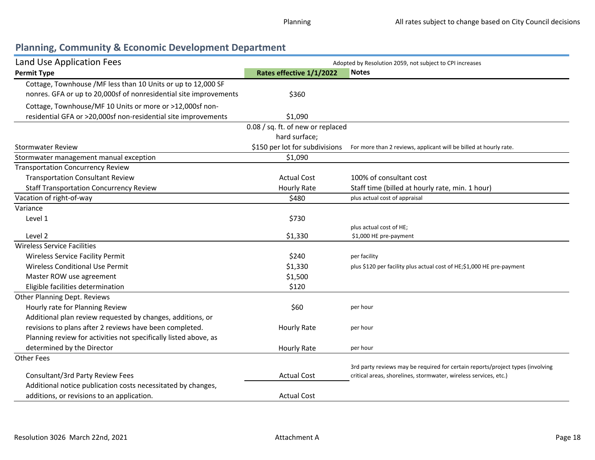# <span id="page-17-0"></span>Planning, Community & Economic Development Department

| Land Use Application Fees                                         | Adopted by Resolution 2059, not subject to CPI increases |                                                                                |  |  |
|-------------------------------------------------------------------|----------------------------------------------------------|--------------------------------------------------------------------------------|--|--|
| <b>Permit Type</b>                                                | Rates effective 1/1/2022                                 | <b>Notes</b>                                                                   |  |  |
| Cottage, Townhouse /MF less than 10 Units or up to 12,000 SF      |                                                          |                                                                                |  |  |
| nonres. GFA or up to 20,000sf of nonresidential site improvements | \$360                                                    |                                                                                |  |  |
| Cottage, Townhouse/MF 10 Units or more or >12,000sf non-          |                                                          |                                                                                |  |  |
| residential GFA or >20,000sf non-residential site improvements    | \$1,090                                                  |                                                                                |  |  |
|                                                                   | 0.08 / sq. ft. of new or replaced                        |                                                                                |  |  |
|                                                                   | hard surface;                                            |                                                                                |  |  |
| <b>Stormwater Review</b>                                          | \$150 per lot for subdivisions                           | For more than 2 reviews, applicant will be billed at hourly rate.              |  |  |
| Stormwater management manual exception                            | \$1,090                                                  |                                                                                |  |  |
| <b>Transportation Concurrency Review</b>                          |                                                          |                                                                                |  |  |
| <b>Transportation Consultant Review</b>                           | <b>Actual Cost</b>                                       | 100% of consultant cost                                                        |  |  |
| <b>Staff Transportation Concurrency Review</b>                    | <b>Hourly Rate</b>                                       | Staff time (billed at hourly rate, min. 1 hour)                                |  |  |
| Vacation of right-of-way                                          | \$480                                                    | plus actual cost of appraisal                                                  |  |  |
| Variance                                                          |                                                          |                                                                                |  |  |
| Level 1                                                           | \$730                                                    |                                                                                |  |  |
|                                                                   |                                                          | plus actual cost of HE;                                                        |  |  |
| Level 2                                                           | \$1,330                                                  | \$1,000 HE pre-payment                                                         |  |  |
| <b>Wireless Service Facilities</b>                                |                                                          |                                                                                |  |  |
| <b>Wireless Service Facility Permit</b>                           | \$240                                                    | per facility                                                                   |  |  |
| Wireless Conditional Use Permit                                   | \$1,330                                                  | plus \$120 per facility plus actual cost of HE;\$1,000 HE pre-payment          |  |  |
| Master ROW use agreement                                          | \$1,500                                                  |                                                                                |  |  |
| Eligible facilities determination                                 | \$120                                                    |                                                                                |  |  |
| Other Planning Dept. Reviews                                      |                                                          |                                                                                |  |  |
| Hourly rate for Planning Review                                   | \$60                                                     | per hour                                                                       |  |  |
| Additional plan review requested by changes, additions, or        |                                                          |                                                                                |  |  |
| revisions to plans after 2 reviews have been completed.           | <b>Hourly Rate</b>                                       | per hour                                                                       |  |  |
| Planning review for activities not specifically listed above, as  |                                                          |                                                                                |  |  |
| determined by the Director                                        | <b>Hourly Rate</b>                                       | per hour                                                                       |  |  |
| <b>Other Fees</b>                                                 |                                                          |                                                                                |  |  |
|                                                                   |                                                          | 3rd party reviews may be required for certain reports/project types (involving |  |  |
| Consultant/3rd Party Review Fees                                  | <b>Actual Cost</b>                                       | critical areas, shorelines, stormwater, wireless services, etc.)               |  |  |
| Additional notice publication costs necessitated by changes,      |                                                          |                                                                                |  |  |
| additions, or revisions to an application.                        | <b>Actual Cost</b>                                       |                                                                                |  |  |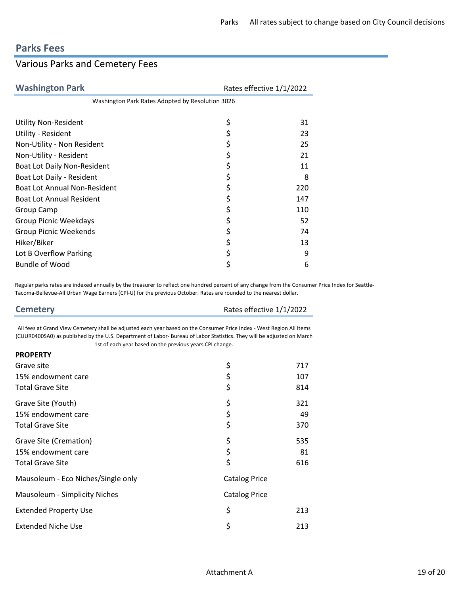# <span id="page-18-0"></span>Parks Fees

# Various Parks and Cemetery Fees

| <b>Washington Park</b>                           | Rates effective 1/1/2022 |  |
|--------------------------------------------------|--------------------------|--|
| Washington Park Rates Adopted by Resolution 3026 |                          |  |
|                                                  |                          |  |
| <b>Utility Non-Resident</b>                      | \$<br>31                 |  |
| Utility - Resident                               | \$<br>23                 |  |
| Non-Utility - Non Resident                       | \$<br>25                 |  |
| Non-Utility - Resident                           | \$<br>21                 |  |
| <b>Boat Lot Daily Non-Resident</b>               | \$<br>11                 |  |
| Boat Lot Daily - Resident                        | \$<br>8                  |  |
| <b>Boat Lot Annual Non-Resident</b>              | \$<br>220                |  |
| <b>Boat Lot Annual Resident</b>                  | \$<br>147                |  |
| Group Camp                                       | \$<br>110                |  |
| <b>Group Picnic Weekdays</b>                     | \$<br>52                 |  |
| <b>Group Picnic Weekends</b>                     | \$<br>74                 |  |
| Hiker/Biker                                      | \$<br>13                 |  |
| Lot B Overflow Parking                           | \$<br>9                  |  |
| <b>Bundle of Wood</b>                            | \$<br>6                  |  |

Regular parks rates are indexed annually by the treasurer to reflect one hundred percent of any change from the Consumer Price Index for Seattle-Tacoma-Bellevue-All Urban Wage Earners (CPl-U) for the previous October. Rates are rounded to the nearest dollar.

| <b>Cemetery</b>                                                                                                                                                                                                                                | Rates effective 1/1/2022 |
|------------------------------------------------------------------------------------------------------------------------------------------------------------------------------------------------------------------------------------------------|--------------------------|
|                                                                                                                                                                                                                                                |                          |
| All fees at Grand View Cemetery shall be adjusted each year based on the Consumer Price Index - West Region All Items<br>(CUUR0400SA0) as published by the U.S. Department of Labor-Bureau of Labor Statistics. They will be adjusted on March |                          |

1st of each year based on the previous years CPI change.

| <b>PROPERTY</b>                    |                      |     |
|------------------------------------|----------------------|-----|
| Grave site                         | \$                   | 717 |
| 15% endowment care                 | \$                   | 107 |
| <b>Total Grave Site</b>            | \$                   | 814 |
| Grave Site (Youth)                 | \$                   | 321 |
| 15% endowment care                 | \$                   | 49  |
| <b>Total Grave Site</b>            | \$                   | 370 |
| Grave Site (Cremation)             | \$                   | 535 |
| 15% endowment care                 | \$                   | 81  |
| <b>Total Grave Site</b>            | \$                   | 616 |
| Mausoleum - Eco Niches/Single only | <b>Catalog Price</b> |     |
| Mausoleum - Simplicity Niches      | <b>Catalog Price</b> |     |
| <b>Extended Property Use</b>       | \$                   | 213 |
| <b>Extended Niche Use</b>          | \$                   | 213 |